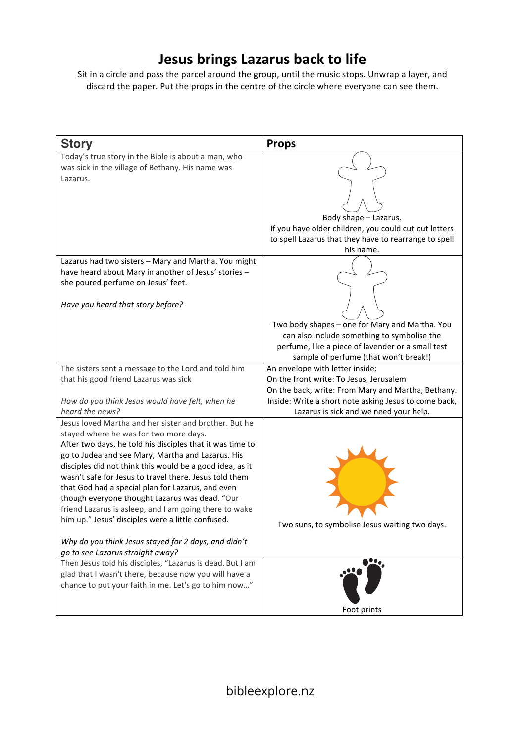## **Jesus brings Lazarus back to life**

Sit in a circle and pass the parcel around the group, until the music stops. Unwrap a layer, and discard the paper. Put the props in the centre of the circle where everyone can see them.

| <b>Story</b>                                                                                                                                                                                                                                                                                                                                                                                                                                                                                                                                                                                                                                              | <b>Props</b>                                                                                                                                                                                                                                                                                                                      |
|-----------------------------------------------------------------------------------------------------------------------------------------------------------------------------------------------------------------------------------------------------------------------------------------------------------------------------------------------------------------------------------------------------------------------------------------------------------------------------------------------------------------------------------------------------------------------------------------------------------------------------------------------------------|-----------------------------------------------------------------------------------------------------------------------------------------------------------------------------------------------------------------------------------------------------------------------------------------------------------------------------------|
| Today's true story in the Bible is about a man, who<br>was sick in the village of Bethany. His name was<br>Lazarus.                                                                                                                                                                                                                                                                                                                                                                                                                                                                                                                                       | Body shape - Lazarus.<br>If you have older children, you could cut out letters<br>to spell Lazarus that they have to rearrange to spell                                                                                                                                                                                           |
| Lazarus had two sisters - Mary and Martha. You might<br>have heard about Mary in another of Jesus' stories -<br>she poured perfume on Jesus' feet.<br>Have you heard that story before?                                                                                                                                                                                                                                                                                                                                                                                                                                                                   | his name.<br>Two body shapes - one for Mary and Martha. You<br>can also include something to symbolise the                                                                                                                                                                                                                        |
| The sisters sent a message to the Lord and told him<br>that his good friend Lazarus was sick<br>How do you think Jesus would have felt, when he<br>heard the news?                                                                                                                                                                                                                                                                                                                                                                                                                                                                                        | perfume, like a piece of lavender or a small test<br>sample of perfume (that won't break!)<br>An envelope with letter inside:<br>On the front write: To Jesus, Jerusalem<br>On the back, write: From Mary and Martha, Bethany.<br>Inside: Write a short note asking Jesus to come back,<br>Lazarus is sick and we need your help. |
| Jesus loved Martha and her sister and brother. But he<br>stayed where he was for two more days.<br>After two days, he told his disciples that it was time to<br>go to Judea and see Mary, Martha and Lazarus. His<br>disciples did not think this would be a good idea, as it<br>wasn't safe for Jesus to travel there. Jesus told them<br>that God had a special plan for Lazarus, and even<br>though everyone thought Lazarus was dead. "Our<br>friend Lazarus is asleep, and I am going there to wake<br>him up." Jesus' disciples were a little confused.<br>Why do you think Jesus stayed for 2 days, and didn't<br>go to see Lazarus straight away? | Two suns, to symbolise Jesus waiting two days.                                                                                                                                                                                                                                                                                    |
| Then Jesus told his disciples, "Lazarus is dead. But I am<br>glad that I wasn't there, because now you will have a<br>chance to put your faith in me. Let's go to him now"                                                                                                                                                                                                                                                                                                                                                                                                                                                                                | $\bullet \bullet$<br>Foot prints                                                                                                                                                                                                                                                                                                  |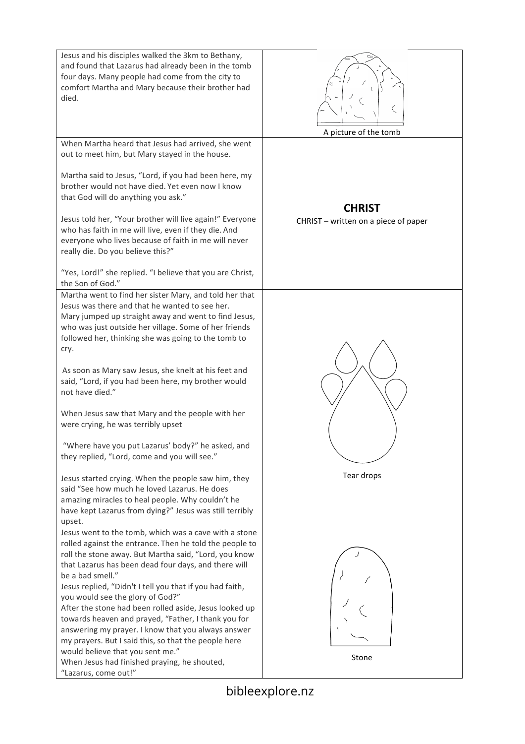| Jesus and his disciples walked the 3km to Bethany,<br>and found that Lazarus had already been in the tomb<br>four days. Many people had come from the city to<br>comfort Martha and Mary because their brother had<br>died.                                                                                                                                                                                                                                                                                                                                                                                                                                                                                                                                                                                                                               | A picture of the tomb                                 |
|-----------------------------------------------------------------------------------------------------------------------------------------------------------------------------------------------------------------------------------------------------------------------------------------------------------------------------------------------------------------------------------------------------------------------------------------------------------------------------------------------------------------------------------------------------------------------------------------------------------------------------------------------------------------------------------------------------------------------------------------------------------------------------------------------------------------------------------------------------------|-------------------------------------------------------|
| When Martha heard that Jesus had arrived, she went<br>out to meet him, but Mary stayed in the house.<br>Martha said to Jesus, "Lord, if you had been here, my<br>brother would not have died. Yet even now I know<br>that God will do anything you ask."<br>Jesus told her, "Your brother will live again!" Everyone<br>who has faith in me will live, even if they die. And<br>everyone who lives because of faith in me will never<br>really die. Do you believe this?"<br>"Yes, Lord!" she replied. "I believe that you are Christ,<br>the Son of God."                                                                                                                                                                                                                                                                                                | <b>CHRIST</b><br>CHRIST - written on a piece of paper |
| Martha went to find her sister Mary, and told her that<br>Jesus was there and that he wanted to see her.<br>Mary jumped up straight away and went to find Jesus,<br>who was just outside her village. Some of her friends<br>followed her, thinking she was going to the tomb to<br>cry.<br>As soon as Mary saw Jesus, she knelt at his feet and<br>said, "Lord, if you had been here, my brother would<br>not have died."<br>When Jesus saw that Mary and the people with her<br>were crying, he was terribly upset<br>"Where have you put Lazarus' body?" he asked, and<br>they replied, "Lord, come and you will see."<br>Jesus started crying. When the people saw him, they<br>said "See how much he loved Lazarus. He does<br>amazing miracles to heal people. Why couldn't he<br>have kept Lazarus from dying?" Jesus was still terribly<br>upset. | Tear drops                                            |
| Jesus went to the tomb, which was a cave with a stone<br>rolled against the entrance. Then he told the people to<br>roll the stone away. But Martha said, "Lord, you know<br>that Lazarus has been dead four days, and there will<br>be a bad smell."<br>Jesus replied, "Didn't I tell you that if you had faith,<br>you would see the glory of God?"<br>After the stone had been rolled aside, Jesus looked up<br>towards heaven and prayed, "Father, I thank you for<br>answering my prayer. I know that you always answer<br>my prayers. But I said this, so that the people here<br>would believe that you sent me."<br>When Jesus had finished praying, he shouted,<br>"Lazarus, come out!"                                                                                                                                                          | Stone                                                 |

bibleexplore.nz